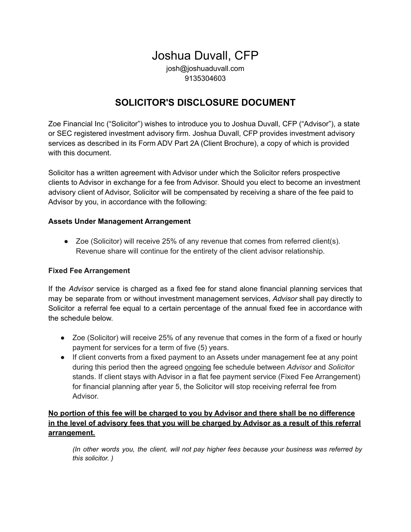# Joshua Duvall, CFP

josh@joshuaduvall.com 9135304603

## **SOLICITOR'S DISCLOSURE DOCUMENT**

Zoe Financial Inc ("Solicitor") wishes to introduce you to Joshua Duvall, CFP ("Advisor"), a state or SEC registered investment advisory firm. Joshua Duvall, CFP provides investment advisory services as described in its Form ADV Part 2A (Client Brochure), a copy of which is provided with this document.

Solicitor has a written agreement with Advisor under which the Solicitor refers prospective clients to Advisor in exchange for a fee from Advisor. Should you elect to become an investment advisory client of Advisor, Solicitor will be compensated by receiving a share of the fee paid to Advisor by you, in accordance with the following:

#### **Assets Under Management Arrangement**

 $\bullet$  Zoe (Solicitor) will receive 25% of any revenue that comes from referred client(s). Revenue share will continue for the entirety of the client advisor relationship.

#### **Fixed Fee Arrangement**

If the *Advisor* service is charged as a fixed fee for stand alone financial planning services that may be separate from or without investment management services, *Advisor* shall pay directly to Solicitor a referral fee equal to a certain percentage of the annual fixed fee in accordance with the schedule below.

- Zoe (Solicitor) will receive 25% of any revenue that comes in the form of a fixed or hourly payment for services for a term of five (5) years.
- If client converts from a fixed payment to an Assets under management fee at any point during this period then the agreed ongoing fee schedule between *Advisor* and *Solicitor* stands. If client stays with Advisor in a flat fee payment service (Fixed Fee Arrangement) for financial planning after year 5, the Solicitor will stop receiving referral fee from Advisor.

#### **No portion of this fee will be charged to you by Advisor and there shall be no difference** in the level of advisory fees that you will be charged by Advisor as a result of this referral **arrangement.**

*(In other words you, the client, will not pay higher fees because your business was referred by this solicitor. )*